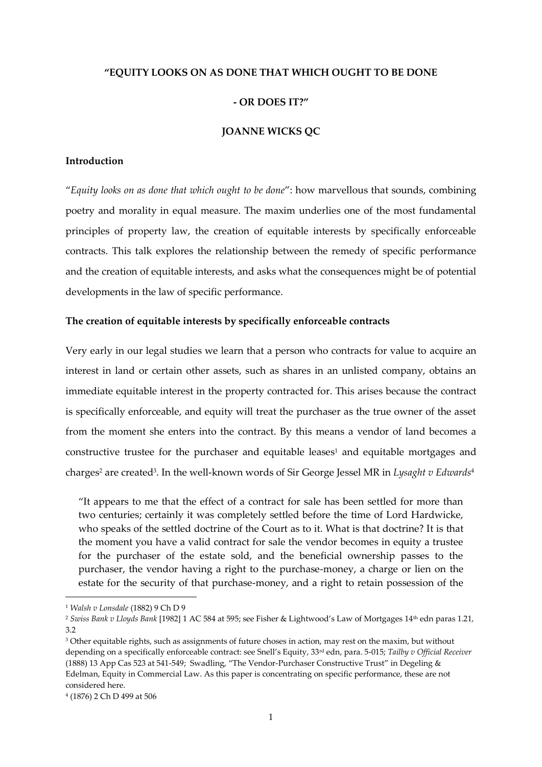# **"EQUITY LOOKS ON AS DONE THAT WHICH OUGHT TO BE DONE**

## **- OR DOES IT?"**

## **JOANNE WICKS QC**

### **Introduction**

"*Equity looks on as done that which ought to be done*": how marvellous that sounds, combining poetry and morality in equal measure. The maxim underlies one of the most fundamental principles of property law, the creation of equitable interests by specifically enforceable contracts. This talk explores the relationship between the remedy of specific performance and the creation of equitable interests, and asks what the consequences might be of potential developments in the law of specific performance.

### **The creation of equitable interests by specifically enforceable contracts**

Very early in our legal studies we learn that a person who contracts for value to acquire an interest in land or certain other assets, such as shares in an unlisted company, obtains an immediate equitable interest in the property contracted for. This arises because the contract is specifically enforceable, and equity will treat the purchaser as the true owner of the asset from the moment she enters into the contract. By this means a vendor of land becomes a constructive trustee for the purchaser and equitable leases<sup>1</sup> and equitable mortgages and charges<sup>2</sup> are created<sup>3</sup>. In the well-known words of Sir George Jessel MR in *Lysaght v Edwards*<sup>4</sup>

"It appears to me that the effect of a contract for sale has been settled for more than two centuries; certainly it was completely settled before the time of Lord Hardwicke, who speaks of the settled doctrine of the Court as to it. What is that doctrine? It is that the moment you have a valid contract for sale the vendor becomes in equity a trustee for the purchaser of the estate sold, and the beneficial ownership passes to the purchaser, the vendor having a right to the purchase-money, a charge or lien on the estate for the security of that purchase-money, and a right to retain possession of the

<sup>1</sup> *Walsh v Lonsdale* (1882) 9 Ch D 9

<sup>2</sup> *Swiss Bank v Lloyds Bank* [1982] 1 AC 584 at 595; see Fisher & Lightwood's Law of Mortgages 14th edn paras 1.21, 3.2

<sup>&</sup>lt;sup>3</sup> Other equitable rights, such as assignments of future choses in action, may rest on the maxim, but without depending on a specifically enforceable contract: see Snell's Equity, 33rd edn, para. 5-015; *Tailby v Official Receiver* (1888) 13 App Cas 523 at 541-549; Swadling, "The Vendor-Purchaser Constructive Trust" in Degeling & Edelman, Equity in Commercial Law. As this paper is concentrating on specific performance, these are not considered here.

<sup>4</sup> (1876) 2 Ch D 499 at 506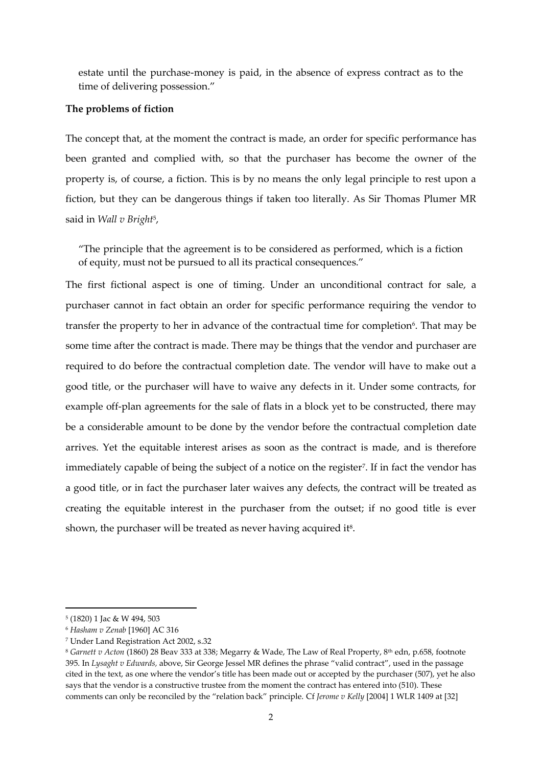estate until the purchase-money is paid, in the absence of express contract as to the time of delivering possession."

#### **The problems of fiction**

The concept that, at the moment the contract is made, an order for specific performance has been granted and complied with, so that the purchaser has become the owner of the property is, of course, a fiction. This is by no means the only legal principle to rest upon a fiction, but they can be dangerous things if taken too literally. As Sir Thomas Plumer MR said in *Wall v Bright*<sup>5</sup> ,

"The principle that the agreement is to be considered as performed, which is a fiction of equity, must not be pursued to all its practical consequences."

The first fictional aspect is one of timing. Under an unconditional contract for sale, a purchaser cannot in fact obtain an order for specific performance requiring the vendor to transfer the property to her in advance of the contractual time for completion<sup>6</sup>. That may be some time after the contract is made. There may be things that the vendor and purchaser are required to do before the contractual completion date. The vendor will have to make out a good title, or the purchaser will have to waive any defects in it. Under some contracts, for example off-plan agreements for the sale of flats in a block yet to be constructed, there may be a considerable amount to be done by the vendor before the contractual completion date arrives. Yet the equitable interest arises as soon as the contract is made, and is therefore immediately capable of being the subject of a notice on the register<sup>7</sup>. If in fact the vendor has a good title, or in fact the purchaser later waives any defects, the contract will be treated as creating the equitable interest in the purchaser from the outset; if no good title is ever shown, the purchaser will be treated as never having acquired it $s$ .

<sup>5</sup> (1820) 1 Jac & W 494, 503

<sup>6</sup> *Hasham v Zenab* [1960] AC 316

<sup>7</sup> Under Land Registration Act 2002, s.32

<sup>8</sup> *Garnett v Acton* (1860) 28 Beav 333 at 338; Megarry & Wade, The Law of Real Property, 8th edn, p.658, footnote 395. In *Lysaght v Edwards,* above, Sir George Jessel MR defines the phrase "valid contract", used in the passage cited in the text, as one where the vendor's title has been made out or accepted by the purchaser (507), yet he also says that the vendor is a constructive trustee from the moment the contract has entered into (510). These comments can only be reconciled by the "relation back" principle. Cf *Jerome v Kelly* [2004] 1 WLR 1409 at [32]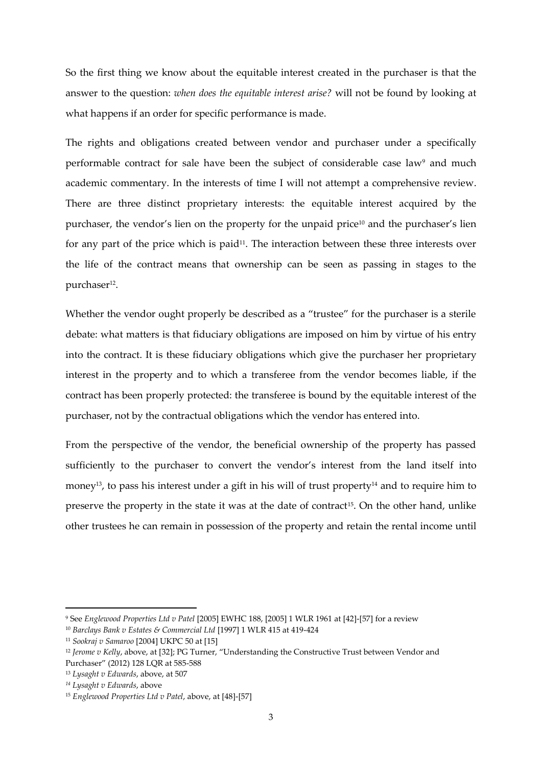So the first thing we know about the equitable interest created in the purchaser is that the answer to the question: *when does the equitable interest arise?* will not be found by looking at what happens if an order for specific performance is made.

The rights and obligations created between vendor and purchaser under a specifically performable contract for sale have been the subject of considerable case law<sup>9</sup> and much academic commentary. In the interests of time I will not attempt a comprehensive review. There are three distinct proprietary interests: the equitable interest acquired by the purchaser, the vendor's lien on the property for the unpaid price<sup>10</sup> and the purchaser's lien for any part of the price which is paid<sup>11</sup>. The interaction between these three interests over the life of the contract means that ownership can be seen as passing in stages to the purchaser<sup>12</sup>.

Whether the vendor ought properly be described as a "trustee" for the purchaser is a sterile debate: what matters is that fiduciary obligations are imposed on him by virtue of his entry into the contract. It is these fiduciary obligations which give the purchaser her proprietary interest in the property and to which a transferee from the vendor becomes liable, if the contract has been properly protected: the transferee is bound by the equitable interest of the purchaser, not by the contractual obligations which the vendor has entered into.

From the perspective of the vendor, the beneficial ownership of the property has passed sufficiently to the purchaser to convert the vendor's interest from the land itself into money<sup>13</sup>, to pass his interest under a gift in his will of trust property<sup>14</sup> and to require him to preserve the property in the state it was at the date of contract<sup>15</sup>. On the other hand, unlike other trustees he can remain in possession of the property and retain the rental income until

<sup>9</sup> See *Englewood Properties Ltd v Patel* [2005] EWHC 188, [2005] 1 WLR 1961 at [42]-[57] for a review

<sup>10</sup> *Barclays Bank v Estates & Commercial Ltd* [1997] 1 WLR 415 at 419-424

<sup>11</sup> *Sookraj v Samaroo* [2004] UKPC 50 at [15]

<sup>&</sup>lt;sup>12</sup> *Jerome v Kelly*, above, at [32]; PG Turner, "Understanding the Constructive Trust between Vendor and Purchaser" (2012) 128 LQR at 585-588

<sup>13</sup> *Lysaght v Edwards*, above, at 507

*<sup>14</sup> Lysaght v Edwards*, above

<sup>15</sup> *Englewood Properties Ltd v Patel*, above, at [48]-[57]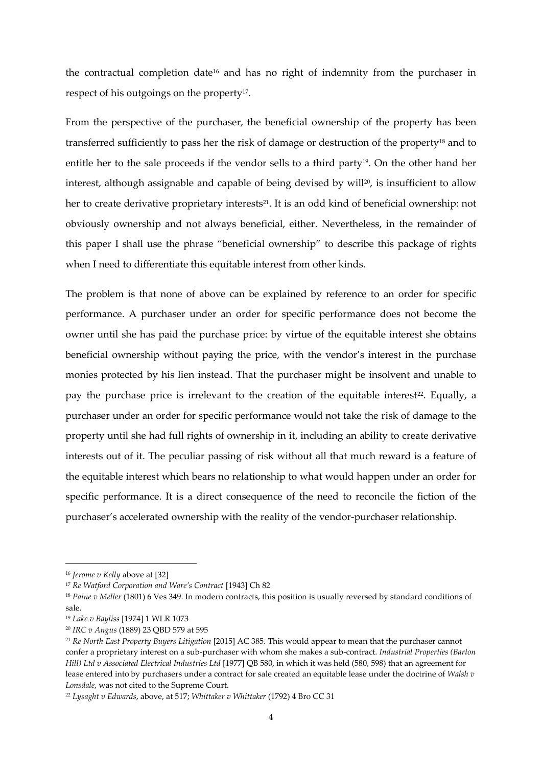the contractual completion date<sup>16</sup> and has no right of indemnity from the purchaser in respect of his outgoings on the property<sup>17</sup>.

From the perspective of the purchaser, the beneficial ownership of the property has been transferred sufficiently to pass her the risk of damage or destruction of the property<sup>18</sup> and to entitle her to the sale proceeds if the vendor sells to a third party<sup>19</sup>. On the other hand her interest, although assignable and capable of being devised by will<sup>20</sup>, is insufficient to allow her to create derivative proprietary interests<sup>21</sup>. It is an odd kind of beneficial ownership: not obviously ownership and not always beneficial, either. Nevertheless, in the remainder of this paper I shall use the phrase "beneficial ownership" to describe this package of rights when I need to differentiate this equitable interest from other kinds.

The problem is that none of above can be explained by reference to an order for specific performance. A purchaser under an order for specific performance does not become the owner until she has paid the purchase price: by virtue of the equitable interest she obtains beneficial ownership without paying the price, with the vendor's interest in the purchase monies protected by his lien instead. That the purchaser might be insolvent and unable to pay the purchase price is irrelevant to the creation of the equitable interest<sup>22</sup>. Equally, a purchaser under an order for specific performance would not take the risk of damage to the property until she had full rights of ownership in it, including an ability to create derivative interests out of it. The peculiar passing of risk without all that much reward is a feature of the equitable interest which bears no relationship to what would happen under an order for specific performance. It is a direct consequence of the need to reconcile the fiction of the purchaser's accelerated ownership with the reality of the vendor-purchaser relationship.

<sup>16</sup> *Jerome v Kelly* above at [32]

<sup>17</sup> *Re Watford Corporation and Ware's Contract* [1943] Ch 82

<sup>&</sup>lt;sup>18</sup> Paine v Meller (1801) 6 Ves 349. In modern contracts, this position is usually reversed by standard conditions of sale.

<sup>19</sup> *Lake v Bayliss* [1974] 1 WLR 1073

<sup>20</sup> *IRC v Angus* (1889) 23 QBD 579 at 595

<sup>21</sup> *Re North East Property Buyers Litigation* [2015] AC 385. This would appear to mean that the purchaser cannot confer a proprietary interest on a sub-purchaser with whom she makes a sub-contract. *Industrial Properties (Barton Hill) Ltd v Associated Electrical Industries Ltd* [1977] QB 580, in which it was held (580, 598) that an agreement for lease entered into by purchasers under a contract for sale created an equitable lease under the doctrine of *Walsh v Lonsdale*, was not cited to the Supreme Court.

<sup>22</sup> *Lysaght v Edwards*, above, at 517; *Whittaker v Whittaker* (1792) 4 Bro CC 31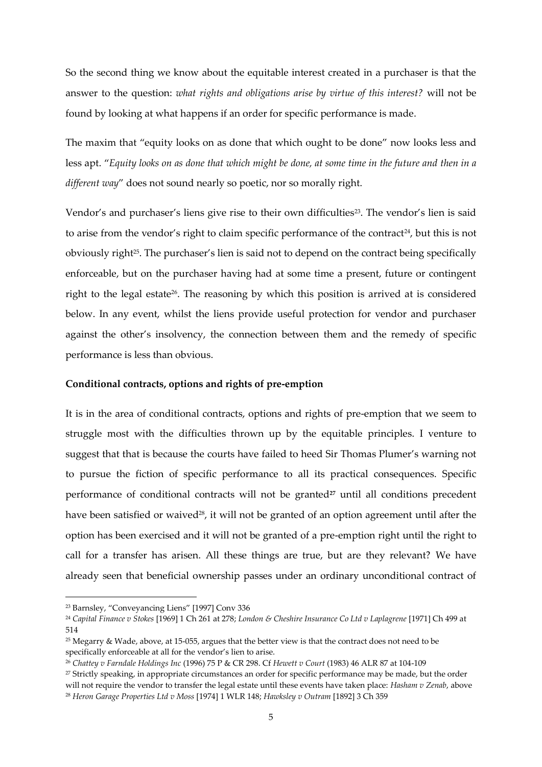So the second thing we know about the equitable interest created in a purchaser is that the answer to the question: *what rights and obligations arise by virtue of this interest?* will not be found by looking at what happens if an order for specific performance is made.

The maxim that "equity looks on as done that which ought to be done" now looks less and less apt. "*Equity looks on as done that which might be done, at some time in the future and then in a different way*" does not sound nearly so poetic, nor so morally right.

Vendor's and purchaser's liens give rise to their own difficulties<sup>23</sup>. The vendor's lien is said to arise from the vendor's right to claim specific performance of the contract<sup>24</sup>, but this is not obviously right<sup>25</sup>. The purchaser's lien is said not to depend on the contract being specifically enforceable, but on the purchaser having had at some time a present, future or contingent right to the legal estate<sup>26</sup>. The reasoning by which this position is arrived at is considered below. In any event, whilst the liens provide useful protection for vendor and purchaser against the other's insolvency, the connection between them and the remedy of specific performance is less than obvious.

# **Conditional contracts, options and rights of pre-emption**

It is in the area of conditional contracts, options and rights of pre-emption that we seem to struggle most with the difficulties thrown up by the equitable principles. I venture to suggest that that is because the courts have failed to heed Sir Thomas Plumer's warning not to pursue the fiction of specific performance to all its practical consequences. Specific performance of conditional contracts will not be granted**<sup>27</sup>** until all conditions precedent have been satisfied or waived<sup>28</sup>, it will not be granted of an option agreement until after the option has been exercised and it will not be granted of a pre-emption right until the right to call for a transfer has arisen. All these things are true, but are they relevant? We have already seen that beneficial ownership passes under an ordinary unconditional contract of

<sup>23</sup> Barnsley, "Conveyancing Liens" [1997] Conv 336

<sup>24</sup> *Capital Finance v Stokes* [1969] 1 Ch 261 at 278; *London & Cheshire Insurance Co Ltd v Laplagrene* [1971] Ch 499 at 514

<sup>&</sup>lt;sup>25</sup> Megarry & Wade, above, at 15-055, argues that the better view is that the contract does not need to be specifically enforceable at all for the vendor's lien to arise.

<sup>26</sup> *Chattey v Farndale Holdings Inc* (1996) 75 P & CR 298. Cf *Hewett v Court* (1983) 46 ALR 87 at 104-109

<sup>&</sup>lt;sup>27</sup> Strictly speaking, in appropriate circumstances an order for specific performance may be made, but the order will not require the vendor to transfer the legal estate until these events have taken place: *Hasham v Zenab*, above

<sup>28</sup> *Heron Garage Properties Ltd v Moss* [1974] 1 WLR 148; *Hawksley v Outram* [1892] 3 Ch 359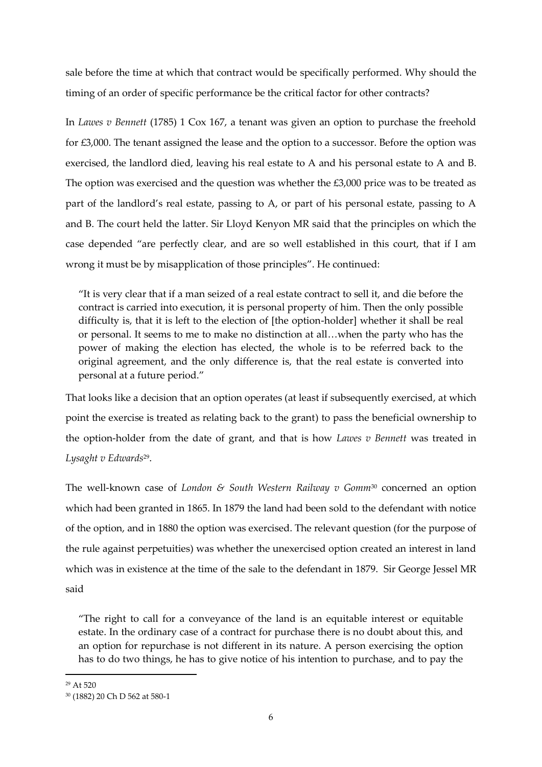sale before the time at which that contract would be specifically performed. Why should the timing of an order of specific performance be the critical factor for other contracts?

In *Lawes v Bennett* (1785) 1 Cox 167, a tenant was given an option to purchase the freehold for £3,000. The tenant assigned the lease and the option to a successor. Before the option was exercised, the landlord died, leaving his real estate to A and his personal estate to A and B. The option was exercised and the question was whether the £3,000 price was to be treated as part of the landlord's real estate, passing to A, or part of his personal estate, passing to A and B. The court held the latter. Sir Lloyd Kenyon MR said that the principles on which the case depended "are perfectly clear, and are so well established in this court, that if I am wrong it must be by misapplication of those principles". He continued:

"It is very clear that if a man seized of a real estate contract to sell it, and die before the contract is carried into execution, it is personal property of him. Then the only possible difficulty is, that it is left to the election of [the option-holder] whether it shall be real or personal. It seems to me to make no distinction at all…when the party who has the power of making the election has elected, the whole is to be referred back to the original agreement, and the only difference is, that the real estate is converted into personal at a future period."

That looks like a decision that an option operates (at least if subsequently exercised, at which point the exercise is treated as relating back to the grant) to pass the beneficial ownership to the option-holder from the date of grant, and that is how *Lawes v Bennett* was treated in *Lysaght v Edwards*<sup>29</sup> .

The well-known case of *London & South Western Railway v Gomm*<sup>30</sup> concerned an option which had been granted in 1865. In 1879 the land had been sold to the defendant with notice of the option, and in 1880 the option was exercised. The relevant question (for the purpose of the rule against perpetuities) was whether the unexercised option created an interest in land which was in existence at the time of the sale to the defendant in 1879. Sir George Jessel MR said

"The right to call for a conveyance of the land is an equitable interest or equitable estate. In the ordinary case of a contract for purchase there is no doubt about this, and an option for repurchase is not different in its nature. A person exercising the option has to do two things, he has to give notice of his intention to purchase, and to pay the

<sup>29</sup> At 520

<sup>30</sup> (1882) 20 Ch D 562 at 580-1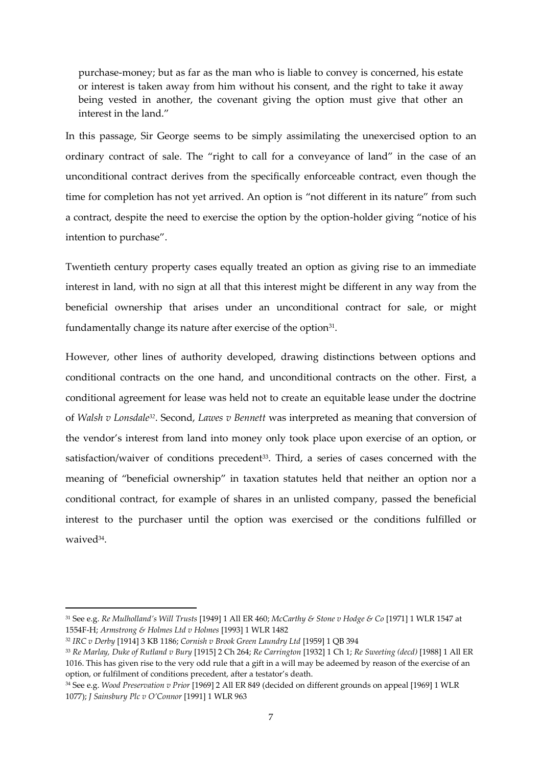purchase-money; but as far as the man who is liable to convey is concerned, his estate or interest is taken away from him without his consent, and the right to take it away being vested in another, the covenant giving the option must give that other an interest in the land."

In this passage, Sir George seems to be simply assimilating the unexercised option to an ordinary contract of sale. The "right to call for a conveyance of land" in the case of an unconditional contract derives from the specifically enforceable contract, even though the time for completion has not yet arrived. An option is "not different in its nature" from such a contract, despite the need to exercise the option by the option-holder giving "notice of his intention to purchase".

Twentieth century property cases equally treated an option as giving rise to an immediate interest in land, with no sign at all that this interest might be different in any way from the beneficial ownership that arises under an unconditional contract for sale, or might fundamentally change its nature after exercise of the option $31$ .

However, other lines of authority developed, drawing distinctions between options and conditional contracts on the one hand, and unconditional contracts on the other. First, a conditional agreement for lease was held not to create an equitable lease under the doctrine of *Walsh v Lonsdale32*. Second, *Lawes v Bennett* was interpreted as meaning that conversion of the vendor's interest from land into money only took place upon exercise of an option, or satisfaction/waiver of conditions precedent<sup>33</sup>. Third, a series of cases concerned with the meaning of "beneficial ownership" in taxation statutes held that neither an option nor a conditional contract, for example of shares in an unlisted company, passed the beneficial interest to the purchaser until the option was exercised or the conditions fulfilled or waived<sup>34</sup>.

<sup>31</sup> See e.g. *Re Mulholland's Will Trusts* [1949] 1 All ER 460; *McCarthy & Stone v Hodge & Co* [1971] 1 WLR 1547 at 1554F-H; *Armstrong & Holmes Ltd v Holmes* [1993] 1 WLR 1482

<sup>32</sup> *IRC v Derby* [1914] 3 KB 1186; *Cornish v Brook Green Laundry Ltd* [1959] 1 QB 394

<sup>33</sup> *Re Marlay, Duke of Rutland v Bury* [1915] 2 Ch 264; *Re Carrington* [1932] 1 Ch 1; *Re Sweeting (decd)* [1988] 1 All ER 1016. This has given rise to the very odd rule that a gift in a will may be adeemed by reason of the exercise of an option, or fulfilment of conditions precedent, after a testator's death.

<sup>34</sup> See e.g. *Wood Preservation v Prior* [1969] 2 All ER 849 (decided on different grounds on appeal [1969] 1 WLR 1077); *J Sainsbury Plc v O'Connor* [1991] 1 WLR 963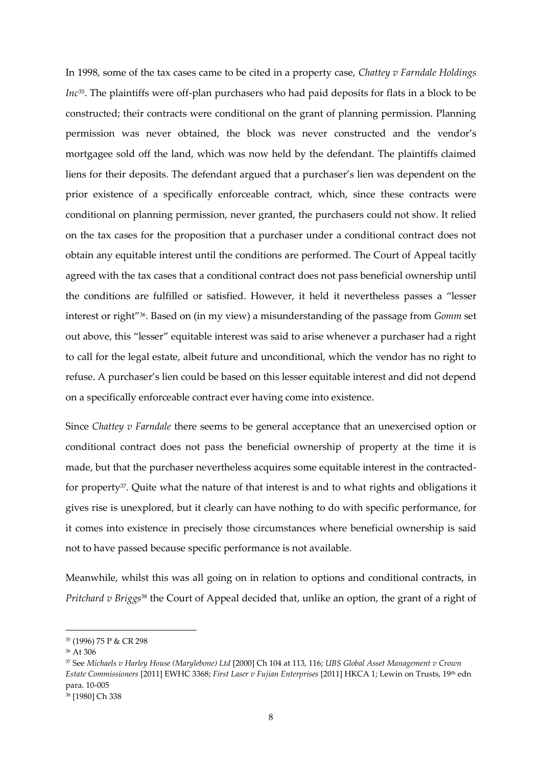In 1998, some of the tax cases came to be cited in a property case, *Chattey v Farndale Holdings Inc*<sup>35</sup> . The plaintiffs were off-plan purchasers who had paid deposits for flats in a block to be constructed; their contracts were conditional on the grant of planning permission. Planning permission was never obtained, the block was never constructed and the vendor's mortgagee sold off the land, which was now held by the defendant. The plaintiffs claimed liens for their deposits. The defendant argued that a purchaser's lien was dependent on the prior existence of a specifically enforceable contract, which, since these contracts were conditional on planning permission, never granted, the purchasers could not show. It relied on the tax cases for the proposition that a purchaser under a conditional contract does not obtain any equitable interest until the conditions are performed. The Court of Appeal tacitly agreed with the tax cases that a conditional contract does not pass beneficial ownership until the conditions are fulfilled or satisfied. However, it held it nevertheless passes a "lesser interest or right"<sup>36</sup> . Based on (in my view) a misunderstanding of the passage from *Gomm* set out above, this "lesser" equitable interest was said to arise whenever a purchaser had a right to call for the legal estate, albeit future and unconditional, which the vendor has no right to refuse. A purchaser's lien could be based on this lesser equitable interest and did not depend on a specifically enforceable contract ever having come into existence.

Since *Chattey v Farndale* there seems to be general acceptance that an unexercised option or conditional contract does not pass the beneficial ownership of property at the time it is made, but that the purchaser nevertheless acquires some equitable interest in the contractedfor property<sup>37</sup>. Quite what the nature of that interest is and to what rights and obligations it gives rise is unexplored, but it clearly can have nothing to do with specific performance, for it comes into existence in precisely those circumstances where beneficial ownership is said not to have passed because specific performance is not available.

Meanwhile, whilst this was all going on in relation to options and conditional contracts, in *Pritchard v Briggs*<sup>38</sup> the Court of Appeal decided that, unlike an option, the grant of a right of

<sup>35</sup> (1996) 75 P & CR 298

<sup>36</sup> At 306

<sup>37</sup> See *Michaels v Harley House (Marylebone) Ltd* [2000] Ch 104 at 113, 116; *UBS Global Asset Management v Crown Estate Commissioners* [2011] EWHC 3368; *First Laser v Fujian Enterprises* [2011] HKCA 1; Lewin on Trusts, 19th edn para. 10-005

<sup>38</sup> [1980] Ch 338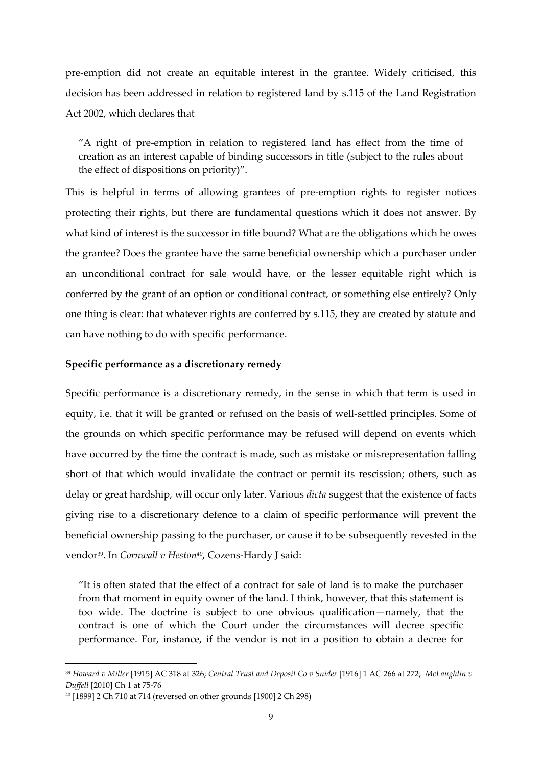pre-emption did not create an equitable interest in the grantee. Widely criticised, this decision has been addressed in relation to registered land by s.115 of the Land Registration Act 2002, which declares that

"A right of pre-emption in relation to registered land has effect from the time of creation as an interest capable of binding successors in title (subject to the rules about the effect of dispositions on priority)".

This is helpful in terms of allowing grantees of pre-emption rights to register notices protecting their rights, but there are fundamental questions which it does not answer. By what kind of interest is the successor in title bound? What are the obligations which he owes the grantee? Does the grantee have the same beneficial ownership which a purchaser under an unconditional contract for sale would have, or the lesser equitable right which is conferred by the grant of an option or conditional contract, or something else entirely? Only one thing is clear: that whatever rights are conferred by s.115, they are created by statute and can have nothing to do with specific performance.

# **Specific performance as a discretionary remedy**

Specific performance is a discretionary remedy, in the sense in which that term is used in equity, i.e. that it will be granted or refused on the basis of well-settled principles. Some of the grounds on which specific performance may be refused will depend on events which have occurred by the time the contract is made, such as mistake or misrepresentation falling short of that which would invalidate the contract or permit its rescission; others, such as delay or great hardship, will occur only later. Various *dicta* suggest that the existence of facts giving rise to a discretionary defence to a claim of specific performance will prevent the beneficial ownership passing to the purchaser, or cause it to be subsequently revested in the vendor<sup>39</sup> . In *Cornwall v Heston40*, Cozens-Hardy J said:

"It is often stated that the effect of a contract for sale of land is to make the purchaser from that moment in equity owner of the land. I think, however, that this statement is too wide. The doctrine is subject to one obvious qualification—namely, that the contract is one of which the Court under the circumstances will decree specific performance. For, instance, if the vendor is not in a position to obtain a decree for

<sup>39</sup> *Howard v Miller* [1915] AC 318 at 326; *Central Trust and Deposit Co v Snider* [1916] 1 AC 266 at 272; *McLaughlin v Duffell* [2010] Ch 1 at 75-76

<sup>40</sup> [1899] 2 Ch 710 at 714 (reversed on other grounds [1900] 2 Ch 298)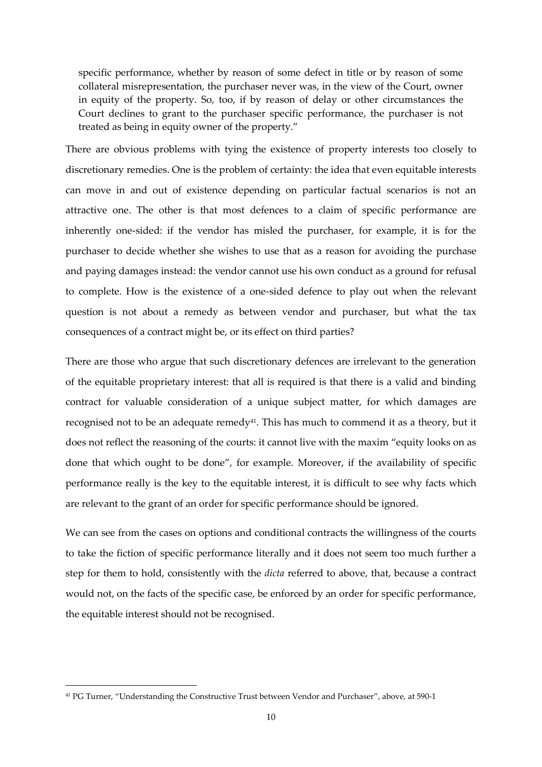specific performance, whether by reason of some defect in title or by reason of some collateral misrepresentation, the purchaser never was, in the view of the Court, owner in equity of the property. So, too, if by reason of delay or other circumstances the Court declines to grant to the purchaser specific performance, the purchaser is not treated as being in equity owner of the property."

There are obvious problems with tying the existence of property interests too closely to discretionary remedies. One is the problem of certainty: the idea that even equitable interests can move in and out of existence depending on particular factual scenarios is not an attractive one. The other is that most defences to a claim of specific performance are inherently one-sided: if the vendor has misled the purchaser, for example, it is for the purchaser to decide whether she wishes to use that as a reason for avoiding the purchase and paying damages instead: the vendor cannot use his own conduct as a ground for refusal to complete. How is the existence of a one-sided defence to play out when the relevant question is not about a remedy as between vendor and purchaser, but what the tax consequences of a contract might be, or its effect on third parties?

There are those who argue that such discretionary defences are irrelevant to the generation of the equitable proprietary interest: that all is required is that there is a valid and binding contract for valuable consideration of a unique subject matter, for which damages are recognised not to be an adequate remedy<sup>41</sup>. This has much to commend it as a theory, but it does not reflect the reasoning of the courts: it cannot live with the maxim "equity looks on as done that which ought to be done", for example. Moreover, if the availability of specific performance really is the key to the equitable interest, it is difficult to see why facts which are relevant to the grant of an order for specific performance should be ignored.

We can see from the cases on options and conditional contracts the willingness of the courts to take the fiction of specific performance literally and it does not seem too much further a step for them to hold, consistently with the *dicta* referred to above, that, because a contract would not, on the facts of the specific case, be enforced by an order for specific performance, the equitable interest should not be recognised.

<sup>41</sup> PG Turner, "Understanding the Constructive Trust between Vendor and Purchaser", above, at 590-1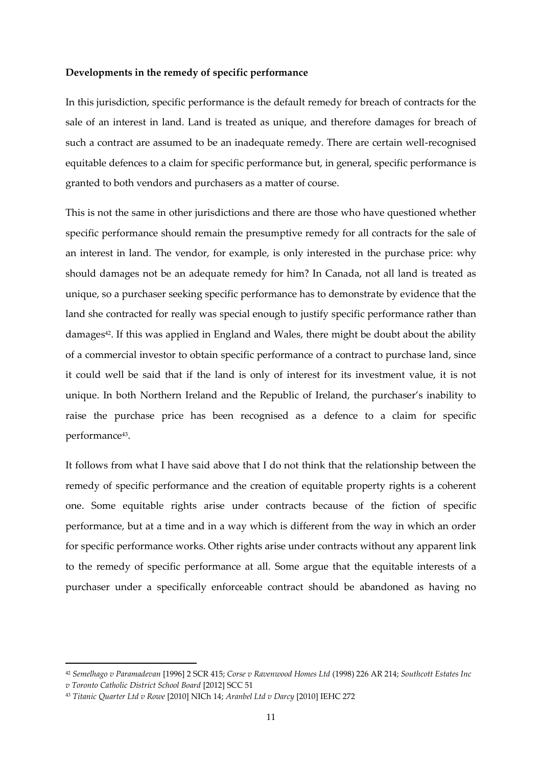#### **Developments in the remedy of specific performance**

In this jurisdiction, specific performance is the default remedy for breach of contracts for the sale of an interest in land. Land is treated as unique, and therefore damages for breach of such a contract are assumed to be an inadequate remedy. There are certain well-recognised equitable defences to a claim for specific performance but, in general, specific performance is granted to both vendors and purchasers as a matter of course.

This is not the same in other jurisdictions and there are those who have questioned whether specific performance should remain the presumptive remedy for all contracts for the sale of an interest in land. The vendor, for example, is only interested in the purchase price: why should damages not be an adequate remedy for him? In Canada, not all land is treated as unique, so a purchaser seeking specific performance has to demonstrate by evidence that the land she contracted for really was special enough to justify specific performance rather than damages<sup>42</sup>. If this was applied in England and Wales, there might be doubt about the ability of a commercial investor to obtain specific performance of a contract to purchase land, since it could well be said that if the land is only of interest for its investment value, it is not unique. In both Northern Ireland and the Republic of Ireland, the purchaser's inability to raise the purchase price has been recognised as a defence to a claim for specific performance<sup>43</sup> .

It follows from what I have said above that I do not think that the relationship between the remedy of specific performance and the creation of equitable property rights is a coherent one. Some equitable rights arise under contracts because of the fiction of specific performance, but at a time and in a way which is different from the way in which an order for specific performance works. Other rights arise under contracts without any apparent link to the remedy of specific performance at all. Some argue that the equitable interests of a purchaser under a specifically enforceable contract should be abandoned as having no

<sup>42</sup> *Semelhago v Paramadevan* [1996] 2 SCR 415; *Corse v Ravenwood Homes Ltd* (1998) 226 AR 214; *Southcott Estates Inc* 

*v Toronto Catholic District School Board* [2012] SCC 51

<sup>43</sup> *Titanic Quarter Ltd v Rowe* [2010] NICh 14; *Aranbel Ltd v Darcy* [2010] IEHC 272